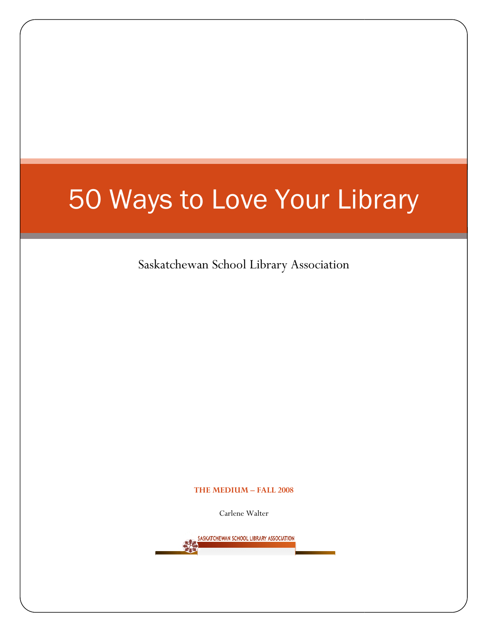# 50 Ways to Love Your Library

Saskatchewan School Library Association

#### THE MEDIUM – FALL 2008

Carlene Walter

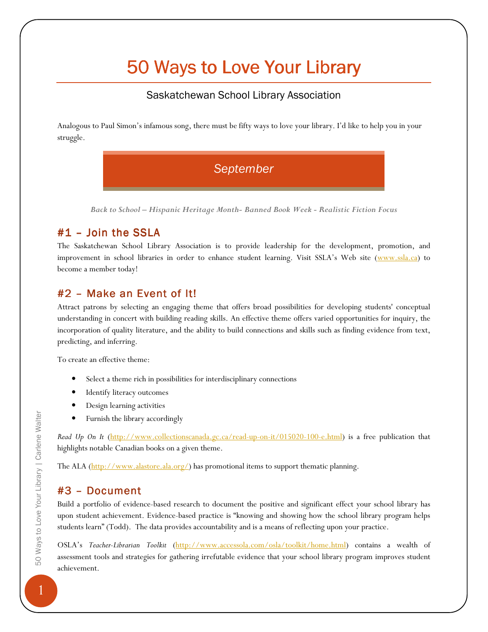## 50 Ways to Love Your Library

#### Saskatchewan School Library Association

Analogous to Paul Simon's infamous song, there must be fifty ways to love your library. I'd like to help you in your struggle.



Back to School – Hispanic Heritage Month- Banned Book Week - Realistic Fiction Focus

## $#1$  – Join the SSLA

The Saskatchewan School Library Association is to provide leadership for the development, promotion, and improvement in school libraries in order to enhance student learning. Visit SSLA's Web site (www.ssla.ca) to become a member today!

## $#2$  – Make an Event of It!

Attract patrons by selecting an engaging theme that offers broad possibilities for developing students' conceptual understanding in concert with building reading skills. An effective theme offers varied opportunities for inquiry, the incorporation of quality literature, and the ability to build connections and skills such as finding evidence from text, predicting, and inferring.

To create an effective theme:

- Select a theme rich in possibilities for interdisciplinary connections
- Identify literacy outcomes
- Design learning activities
- Furnish the library accordingly

Read Up On It (http://www.collectionscanada.gc.ca/read-up-on-it/015020-100-e.html) is a free publication that highlights notable Canadian books on a given theme.

The ALA  $(\frac{http://www.alastore.ala.org/}{www.alastore.ala.org/})$  has promotional items to support thematic planning.

## $#3$  – Document

Build a portfolio of evidence-based research to document the positive and significant effect your school library has upon student achievement. Evidence-based practice is "knowing and showing how the school library program helps students learn" (Todd). The data provides accountability and is a means of reflecting upon your practice.

OSLA's Teacher-Librarian Toolkit (http://www.accessola.com/osla/toolkit/home.html) contains a wealth of assessment tools and strategies for gathering irrefutable evidence that your school library program improves student achievement.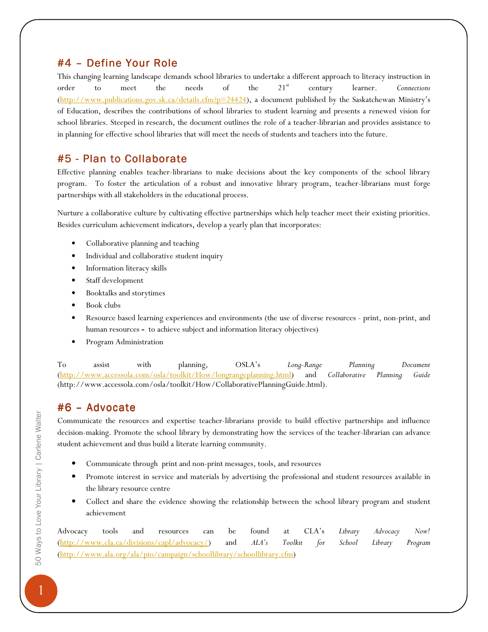## #4 - Define Your Role

This changing learning landscape demands school libraries to undertake a different approach to literacy instruction in order to meet the needs of the  $21^{st}$  century learner. Connections (http://www.publications.gov.sk.ca/details.cfm?p=24424), a document published by the Saskatchewan Ministry's of Education, describes the contributions of school libraries to student learning and presents a renewed vision for school libraries. Steeped in research, the document outlines the role of a teacher-librarian and provides assistance to in planning for effective school libraries that will meet the needs of students and teachers into the future.

## #5 - Plan to Collaborate

Effective planning enables teacher-librarians to make decisions about the key components of the school library program. To foster the articulation of a robust and innovative library program, teacher-librarians must forge partnerships with all stakeholders in the educational process.

Nurture a collaborative culture by cultivating effective partnerships which help teacher meet their existing priorities. Besides curriculum achievement indicators, develop a yearly plan that incorporates:

- Collaborative planning and teaching
- Individual and collaborative student inquiry
- Information literacy skills
- Staff development
- Booktalks and storytimes
- Book clubs
- Resource based learning experiences and environments (the use of diverse resources print, non-print, and human resources - to achieve subject and information literacy objectives)
- Program Administration

To assist with planning, OSLA's Long-Range Planning Document (http://www.accessola.com/osla/toolkit/How/longrangeplanning.html) and Collaborative Planning Guide (http://www.accessola.com/osla/toolkit/How/CollaborativePlanningGuide.html).

## $#6$  – Advocate

Communicate the resources and expertise teacher-librarians provide to build effective partnerships and influence decision-making. Promote the school library by demonstrating how the services of the teacher-librarian can advance student achievement and thus build a literate learning community.

- Communicate through print and non-print messages, tools, and resources
- Promote interest in service and materials by advertising the professional and student resources available in the library resource centre
- Collect and share the evidence showing the relationship between the school library program and student achievement

Advocacy tools and resources can be found at CLA's Library Advocacy Now! (http://www.cla.ca/divisions/capl/advocacy/) and ALA's Toolkit for School Library Program (http://www.ala.org/ala/pio/campaign/schoollibrary/schoollibrary.cfm)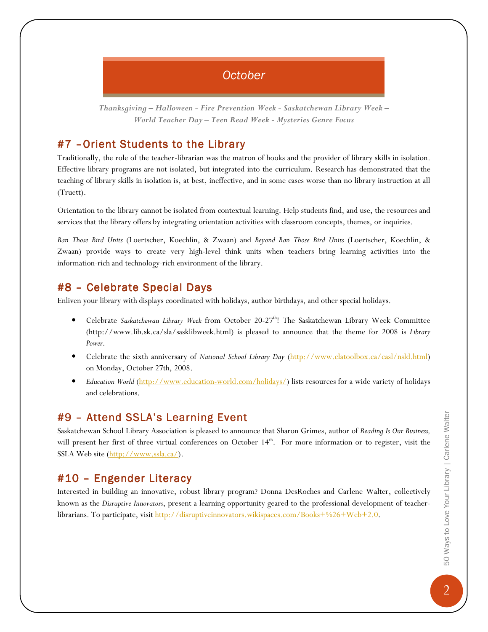## **October**

Thanksgiving – Halloween - Fire Prevention Week - Saskatchewan Library Week – World Teacher Day – Teen Read Week - Mysteries Genre Focus

#### #7 - Orient Students to the Library

Traditionally, the role of the teacher-librarian was the matron of books and the provider of library skills in isolation. Effective library programs are not isolated, but integrated into the curriculum. Research has demonstrated that the teaching of library skills in isolation is, at best, ineffective, and in some cases worse than no library instruction at all (Truett).

Orientation to the library cannot be isolated from contextual learning. Help students find, and use, the resources and services that the library offers by integrating orientation activities with classroom concepts, themes, or inquiries.

Ban Those Bird Units (Loertscher, Koechlin, & Zwaan) and Beyond Ban Those Bird Units (Loertscher, Koechlin, & Zwaan) provide ways to create very high-level think units when teachers bring learning activities into the information-rich and technology-rich environment of the library.

#### #8 – Celebrate Special Days

Enliven your library with displays coordinated with holidays, author birthdays, and other special holidays.

- Celebrate Saskatchewan Library Week from October 20-27<sup>th</sup>! The Saskatchewan Library Week Committee (http://www.lib.sk.ca/sla/sasklibweek.html) is pleased to announce that the theme for 2008 is Library Power.
- Celebrate the sixth anniversary of National School Library Day (http://www.clatoolbox.ca/casl/nsld.html) on Monday, October 27th, 2008.
- Education World (http://www.education-world.com/holidays/) lists resources for a wide variety of holidays and celebrations.

#### #9 - Attend SSLA's Learning Event

Saskatchewan School Library Association is pleased to announce that Sharon Grimes, author of Reading Is Our Business, will present her first of three virtual conferences on October 14<sup>th</sup>. For more information or to register, visit the SSLA Web site (http://www.ssla.ca/).

## $#10$  – Engender Literacy

Interested in building an innovative, robust library program? Donna DesRoches and Carlene Walter, collectively known as the Disruptive Innovators, present a learning opportunity geared to the professional development of teacherlibrarians. To participate, visit http://disruptiveinnovators.wikispaces.com/Books+%26+Web+2.0.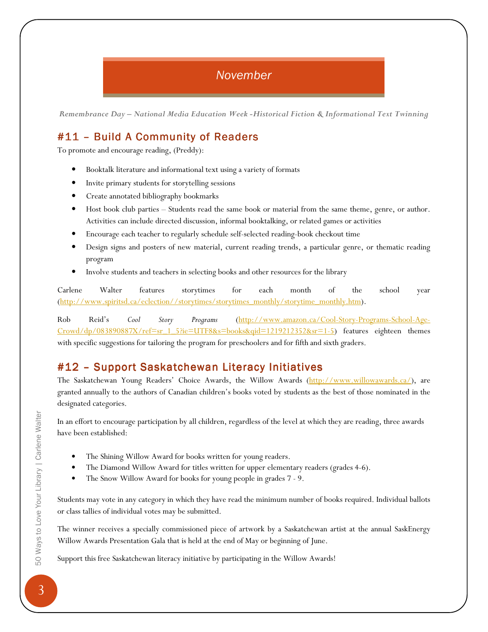## November

Remembrance Day – National Media Education Week -Historical Fiction & Informational Text Twinning

## #11 – Build A Community of Readers

To promote and encourage reading, (Preddy):

- Booktalk literature and informational text using a variety of formats
- Invite primary students for storytelling sessions
- Create annotated bibliography bookmarks
- Host book club parties Students read the same book or material from the same theme, genre, or author. Activities can include directed discussion, informal booktalking, or related games or activities
- Encourage each teacher to regularly schedule self-selected reading-book checkout time
- Design signs and posters of new material, current reading trends, a particular genre, or thematic reading program
- Involve students and teachers in selecting books and other resources for the library

Carlene Walter features storytimes for each month of the school year (http://www.spiritsd.ca/eclection//storytimes/storytimes\_monthly/storytime\_monthly.htm).

Rob Reid's Cool Story Programs (http://www.amazon.ca/Cool-Story-Programs-School-Age- $Crowd/dp/083890887X/ref=sr-1-5?ie=UTF8&s=books&qid=1219212352&sr=1-5)$  features eighteen themes with specific suggestions for tailoring the program for preschoolers and for fifth and sixth graders.

## #12 – Support Saskatchewan Literacy Initiatives

The Saskatchewan Young Readers' Choice Awards, the Willow Awards (http://www.willowawards.ca/), are granted annually to the authors of Canadian children's books voted by students as the best of those nominated in the designated categories.

In an effort to encourage participation by all children, regardless of the level at which they are reading, three awards have been established:

- The Shining Willow Award for books written for young readers.
- The Diamond Willow Award for titles written for upper elementary readers (grades 4-6).
- The Snow Willow Award for books for young people in grades  $7 9$ .

Students may vote in any category in which they have read the minimum number of books required. Individual ballots or class tallies of individual votes may be submitted.

The winner receives a specially commissioned piece of artwork by a Saskatchewan artist at the annual SaskEnergy Willow Awards Presentation Gala that is held at the end of May or beginning of June.

Support this free Saskatchewan literacy initiative by participating in the Willow Awards!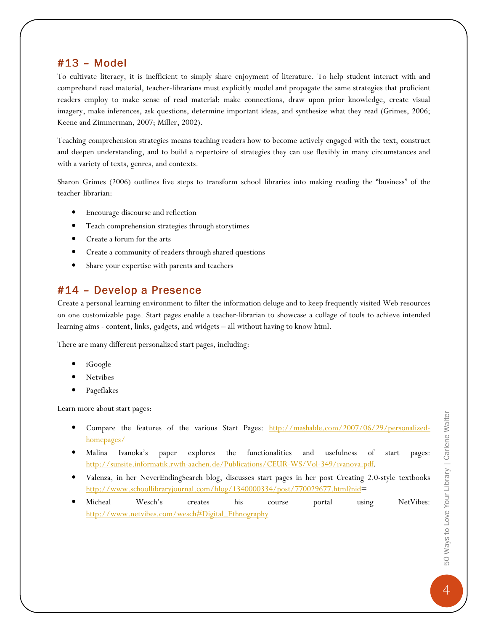#### $#13 - Model$

To cultivate literacy, it is inefficient to simply share enjoyment of literature. To help student interact with and comprehend read material, teacher-librarians must explicitly model and propagate the same strategies that proficient readers employ to make sense of read material: make connections, draw upon prior knowledge, create visual imagery, make inferences, ask questions, determine important ideas, and synthesize what they read (Grimes, 2006; Keene and Zimmerman, 2007; Miller, 2002).

Teaching comprehension strategies means teaching readers how to become actively engaged with the text, construct and deepen understanding, and to build a repertoire of strategies they can use flexibly in many circumstances and with a variety of texts, genres, and contexts.

Sharon Grimes (2006) outlines five steps to transform school libraries into making reading the "business" of the teacher-librarian:

- Encourage discourse and reflection
- Teach comprehension strategies through storytimes
- Create a forum for the arts
- Create a community of readers through shared questions
- Share your expertise with parents and teachers

#### #14 – Develop a Presence

Create a personal learning environment to filter the information deluge and to keep frequently visited Web resources on one customizable page. Start pages enable a teacher-librarian to showcase a collage of tools to achieve intended learning aims - content, links, gadgets, and widgets – all without having to know html.

There are many different personalized start pages, including:

- iGoogle
- **Netvibes**
- Pageflakes

Learn more about start pages:

- Compare the features of the various Start Pages: http://mashable.com/2007/06/29/personalizedhomepages/
- Malina Ivanoka's paper explores the functionalities and usefulness of start pages: http://sunsite.informatik.rwth-aachen.de/Publications/CEUR-WS/Vol-349/ivanova.pdf.
- Valenza, in her NeverEndingSearch blog, discusses start pages in her post Creating 2.0-style textbooks http://www.schoollibraryjournal.com/blog/1340000334/post/770029677.html?nid=
- Micheal Wesch's creates his course portal using NetVibes: http://www.netvibes.com/wesch#Digital\_Ethnography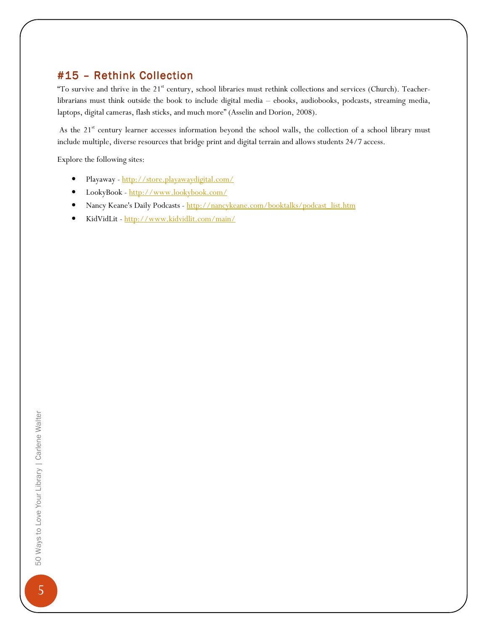## #15 - Rethink Collection

"To survive and thrive in the  $21<sup>st</sup>$  century, school libraries must rethink collections and services (Church). Teacherlibrarians must think outside the book to include digital media – ebooks, audiobooks, podcasts, streaming media, laptops, digital cameras, flash sticks, and much more" (Asselin and Dorion, 2008).

As the 21<sup>st</sup> century learner accesses information beyond the school walls, the collection of a school library must include multiple, diverse resources that bridge print and digital terrain and allows students 24/7 access.

Explore the following sites:

- Playaway http://store.playawaydigital.com/
- LookyBook http://www.lookybook.com/
- Nancy Keane's Daily Podcasts http://nancykeane.com/booktalks/podcast\_list.htm
- KidVidLit http://www.kidvidlit.com/main/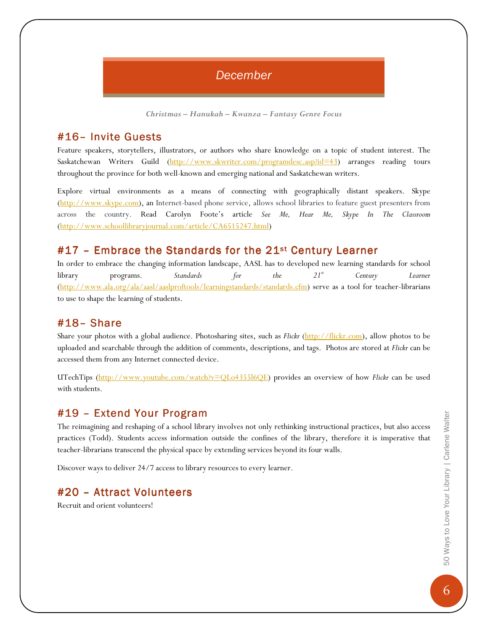## December

Christmas – Hanukah – Kwanza – Fantasy Genre Focus

#### #16- Invite Guests

Feature speakers, storytellers, illustrators, or authors who share knowledge on a topic of student interest. The Saskatchewan Writers Guild (http://www.skwriter.com/programdesc.asp?id=43) arranges reading tours throughout the province for both well-known and emerging national and Saskatchewan writers.

Explore virtual environments as a means of connecting with geographically distant speakers. Skype (http://www.skype.com), an Internet-based phone service, allows school libraries to feature guest presenters from across the country. Read Carolyn Foote's article See Me, Hear Me, Skype In The Classroom (http://www.schoollibraryjournal.com/article/CA6515247.html)

#### #17 - Embrace the Standards for the 21<sup>st</sup> Century Learner

In order to embrace the changing information landscape, AASL has to developed new learning standards for school library programs. Standards for the  $21^s$  Century Learner (http://www.ala.org/ala/aasl/aaslproftools/learningstandards/standards.cfm) serve as a tool for teacher-librarians to use to shape the learning of students.

#### #18–Share

Share your photos with a global audience. Photosharing sites, such as Flickr (http://flickr.com), allow photos to be uploaded and searchable through the addition of comments, descriptions, and tags. Photos are stored at Flickr can be accessed them from any Internet connected device.

UTechTips (http://www.youtube.com/watch?v=QLo4355l6QE) provides an overview of how Flickr can be used with students.

#### #19 - Extend Your Program

The reimagining and reshaping of a school library involves not only rethinking instructional practices, but also access practices (Todd). Students access information outside the confines of the library, therefore it is imperative that teacher-librarians transcend the physical space by extending services beyond its four walls.

Discover ways to deliver 24/7 access to library resources to every learner.

## #20 - Attract Volunteers

Recruit and orient volunteers!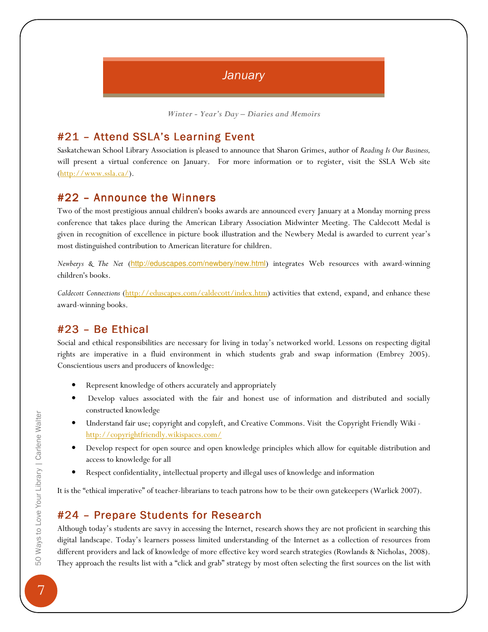## **January**

Winter - Year's Day – Diaries and Memoirs

### #21 - Attend SSLA's Learning Event

Saskatchewan School Library Association is pleased to announce that Sharon Grimes, author of Reading Is Our Business, will present a virtual conference on January. For more information or to register, visit the SSLA Web site  $(\underline{http://www.ssla.ca/})$ .

#### $#22$  – Announce the Winners

Two of the most prestigious annual children's books awards are announced every January at a Monday morning press conference that takes place during the American Library Association Midwinter Meeting. The Caldecott Medal is given in recognition of excellence in picture book illustration and the Newbery Medal is awarded to current year's most distinguished contribution to American literature for children.

Newberys & The Net (http://eduscapes.com/newbery/new.html) integrates Web resources with award-winning children's books.

Caldecott Connections (http://eduscapes.com/caldecott/index.htm) activities that extend, expand, and enhance these award-winning books.

#### $#23$  – Be Ethical

Social and ethical responsibilities are necessary for living in today's networked world. Lessons on respecting digital rights are imperative in a fluid environment in which students grab and swap information (Embrey 2005). Conscientious users and producers of knowledge:

- Represent knowledge of others accurately and appropriately
- Develop values associated with the fair and honest use of information and distributed and socially constructed knowledge
- Understand fair use; copyright and copyleft, and Creative Commons. Visit the Copyright Friendly Wiki http://copyrightfriendly.wikispaces.com/
- Develop respect for open source and open knowledge principles which allow for equitable distribution and access to knowledge for all
- Respect confidentiality, intellectual property and illegal uses of knowledge and information

It is the "ethical imperative" of teacher-librarians to teach patrons how to be their own gatekeepers (Warlick 2007).

#### #24 – Prepare Students for Research

Although today's students are savvy in accessing the Internet, research shows they are not proficient in searching this digital landscape. Today's learners possess limited understanding of the Internet as a collection of resources from different providers and lack of knowledge of more effective key word search strategies (Rowlands & Nicholas, 2008). They approach the results list with a "click and grab" strategy by most often selecting the first sources on the list with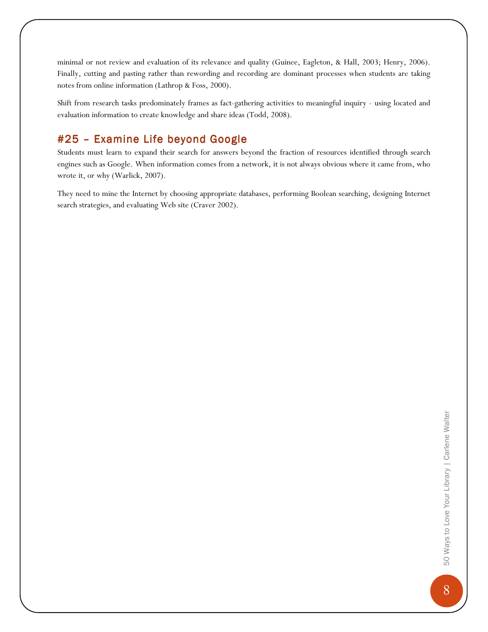minimal or not review and evaluation of its relevance and quality (Guinee, Eagleton, & Hall, 2003; Henry, 2006). Finally, cutting and pasting rather than rewording and recording are dominant processes when students are taking notes from online information (Lathrop & Foss, 2000).

Shift from research tasks predominately frames as fact-gathering activities to meaningful inquiry - using located and evaluation information to create knowledge and share ideas (Todd, 2008).

## #25 - Examine Life beyond Google

Students must learn to expand their search for answers beyond the fraction of resources identified through search engines such as Google. When information comes from a network, it is not always obvious where it came from, who wrote it, or why (Warlick, 2007).

They need to mine the Internet by choosing appropriate databases, performing Boolean searching, designing Internet search strategies, and evaluating Web site (Craver 2002).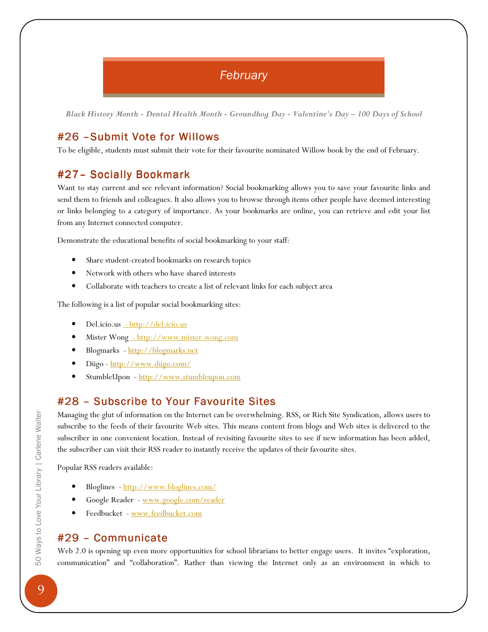## **February**

Black History Month - Dental Health Month - Groundhog Day - Valentine's Day – 100 Days of School

## #26 -Submit Vote for Willows

To be eligible, students must submit their vote for their favourite nominated Willow book by the end of February.

## #27- Socially Bookmark

Want to stay current and see relevant information? Social bookmarking allows you to save your favourite links and send them to friends and colleagues. It also allows you to browse through items other people have deemed interesting or links belonging to a category of importance. As your bookmarks are online, you can retrieve and edit your list from any Internet connected computer.

Demonstrate the educational benefits of social bookmarking to your staff:

- Share student-created bookmarks on research topics
- Network with others who have shared interests
- Collaborate with teachers to create a list of relevant links for each subject area

The following is a list of popular social bookmarking sites:

- Del.icio.us http://del.icio.us
- Mister Wong http://www.mister-wong.com
- Blogmarks http://blogmarks.net
- Diigo http://www.diigo.com/
- StumbleUpon http://www.stumbleupon.com

## #28 – Subscribe to Your Favourite Sites

Managing the glut of information on the Internet can be overwhelming. RSS, or Rich Site Syndication, allows users to subscribe to the feeds of their favourite Web sites. This means content from blogs and Web sites is delivered to the subscriber in one convenient location. Instead of revisiting favourite sites to see if new information has been added, the subscriber can visit their RSS reader to instantly receive the updates of their favourite sites.

Popular RSS readers available:

- Bloglines http://www.bloglines.com/
- Google Reader www.google.com/reader
- Feedbucket www.feedbucket.com

#### #29 - Communicate

Web 2.0 is opening up even more opportunities for school librarians to better engage users. It invites "exploration, communication" and "collaboration". Rather than viewing the Internet only as an environment in which to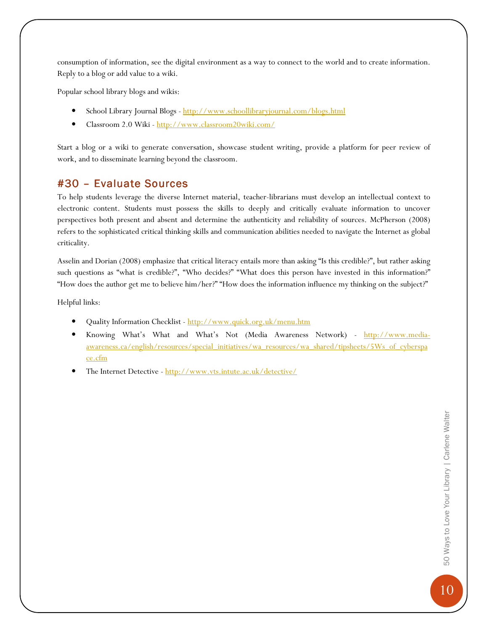consumption of information, see the digital environment as a way to connect to the world and to create information. Reply to a blog or add value to a wiki.

Popular school library blogs and wikis:

- School Library Journal Blogs http://www.schoollibraryjournal.com/blogs.html
- Classroom 2.0 Wiki http://www.classroom20wiki.com/

Start a blog or a wiki to generate conversation, showcase student writing, provide a platform for peer review of work, and to disseminate learning beyond the classroom.

#### #30 – Evaluate Sources

To help students leverage the diverse Internet material, teacher-librarians must develop an intellectual context to electronic content. Students must possess the skills to deeply and critically evaluate information to uncover perspectives both present and absent and determine the authenticity and reliability of sources. McPherson (2008) refers to the sophisticated critical thinking skills and communication abilities needed to navigate the Internet as global criticality.

Asselin and Dorian (2008) emphasize that critical literacy entails more than asking "Is this credible?", but rather asking such questions as "what is credible?", "Who decides?" "What does this person have invested in this information?" "How does the author get me to believe him/her?" "How does the information influence my thinking on the subject?"

Helpful links:

- Quality Information Checklist http://www.quick.org.uk/menu.htm
- Knowing What's What and What's Not (Media Awareness Network) http://www.mediaawareness.ca/english/resources/special\_initiatives/wa\_resources/wa\_shared/tipsheets/5Ws\_of\_cyberspa ce.cfm
- The Internet Detective http://www.vts.intute.ac.uk/detective/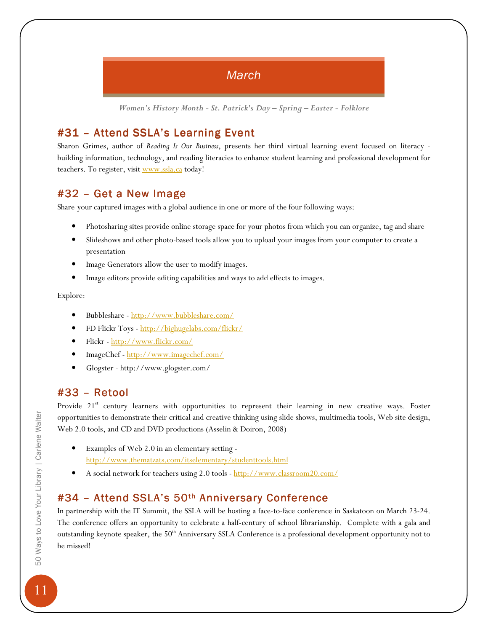## **March**

Women's History Month - St. Patrick's Day – Spring – Easter - Folklore

## #31 - Attend SSLA's Learning Event

Sharon Grimes, author of Reading Is Our Business, presents her third virtual learning event focused on literacy building information, technology, and reading literacies to enhance student learning and professional development for teachers. To register, visit www.ssla.ca today!

## #32 - Get a New Image

Share your captured images with a global audience in one or more of the four following ways:

- Photosharing sites provide online storage space for your photos from which you can organize, tag and share
- Slideshows and other photo-based tools allow you to upload your images from your computer to create a presentation
- Image Generators allow the user to modify images.
- Image editors provide editing capabilities and ways to add effects to images.

Explore:

- Bubbleshare http://www.bubbleshare.com/
- FD Flickr Toys http://bighugelabs.com/flickr/
- Flickr http://www.flickr.com/
- ImageChef http://www.imagechef.com/
- Glogster http://www.glogster.com/

#### $#33 - Retool$

Provide 21<sup>st</sup> century learners with opportunities to represent their learning in new creative ways. Foster opportunities to demonstrate their critical and creative thinking using slide shows, multimedia tools, Web site design, Web 2.0 tools, and CD and DVD productions (Asselin & Doiron, 2008)

- Examples of Web 2.0 in an elementary setting http://www.thematzats.com/itselementary/studenttools.html
- A social network for teachers using 2.0 tools http://www.classroom20.com/

## #34 – Attend SSLA's 50<sup>th</sup> Anniversary Conference

In partnership with the IT Summit, the SSLA will be hosting a face-to-face conference in Saskatoon on March 23-24. The conference offers an opportunity to celebrate a half-century of school librarianship. Complete with a gala and outstanding keynote speaker, the 50<sup>th</sup> Anniversary SSLA Conference is a professional development opportunity not to be missed!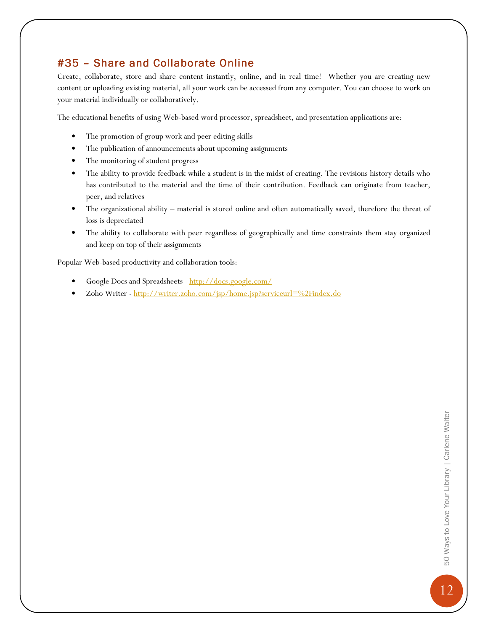## #35 - Share and Collaborate Online

Create, collaborate, store and share content instantly, online, and in real time! Whether you are creating new content or uploading existing material, all your work can be accessed from any computer. You can choose to work on your material individually or collaboratively.

The educational benefits of using Web-based word processor, spreadsheet, and presentation applications are:

- The promotion of group work and peer editing skills
- The publication of announcements about upcoming assignments
- The monitoring of student progress
- The ability to provide feedback while a student is in the midst of creating. The revisions history details who has contributed to the material and the time of their contribution. Feedback can originate from teacher, peer, and relatives
- The organizational ability material is stored online and often automatically saved, therefore the threat of loss is depreciated
- The ability to collaborate with peer regardless of geographically and time constraints them stay organized and keep on top of their assignments

Popular Web-based productivity and collaboration tools:

- Google Docs and Spreadsheets http://docs.google.com/
- Zoho Writer http://writer.zoho.com/jsp/home.jsp?serviceurl=%2Findex.do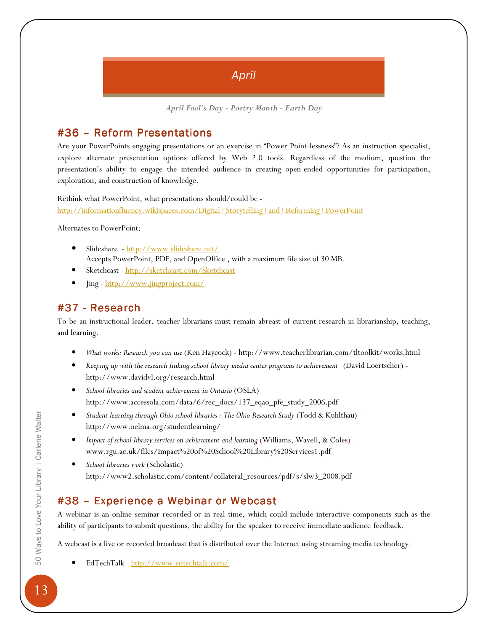## April

April Fool's Day - Poetry Month - Earth Day

#### #36 – Reform Presentations

Are your PowerPoints engaging presentations or an exercise in "Power Point-lessness"? As an instruction specialist, explore alternate presentation options offered by Web 2.0 tools. Regardless of the medium, question the presentation's ability to engage the intended audience in creating open-ended opportunities for participation, exploration, and construction of knowledge.

Rethink what PowerPoint, what presentations should/could be http://informationfluency.wikispaces.com/Digital+Storytelling+and+Reforming+PowerPoint

Alternates to PowerPoint:

- Slideshare http://www.slideshare.net/ Accepts PowerPoint, PDF, and OpenOffice , with a maximum file size of 30 MB.
- Sketchcast http://sketchcast.com/Sketchcast
- Jing http://www.jingproject.com/

#### $#37$  - Research

To be an instructional leader, teacher-librarians must remain abreast of current research in librarianship, teaching, and learning.

- What works: Research you can use (Ken Haycock) http://www.teacherlibrarian.com/tltoolkit/works.html
- Keeping up with the research linking school library media center programs to achievement (David Loertscher) http://www.davidvl.org/research.html
- School libraries and student achievement in Ontario (OSLA) http://www.accessola.com/data/6/rec\_docs/137\_eqao\_pfe\_study\_2006.pdf
- Student learning through Ohio school libraries : The Ohio Research Study (Todd & Kuhlthau) http://www.oelma.org/studentlearning/
- Impact of school library services on achievement and learning (Williams, Wavell, & Coles) www.rgu.ac.uk/files/Impact%20of%20School%20Library%20Services1.pdf
- School libraries work (Scholastic) http://www2.scholastic.com/content/collateral\_resources/pdf/s/slw3\_2008.pdf

## #38 – Experience a Webinar or Webcast

A webinar is an online seminar recorded or in real time, which could include interactive components such as the ability of participants to submit questions, the ability for the speaker to receive immediate audience feedback.

A webcast is a live or recorded broadcast that is distributed over the Internet using streaming media technology.

• EdTechTalk - http://www.edtechtalk.com/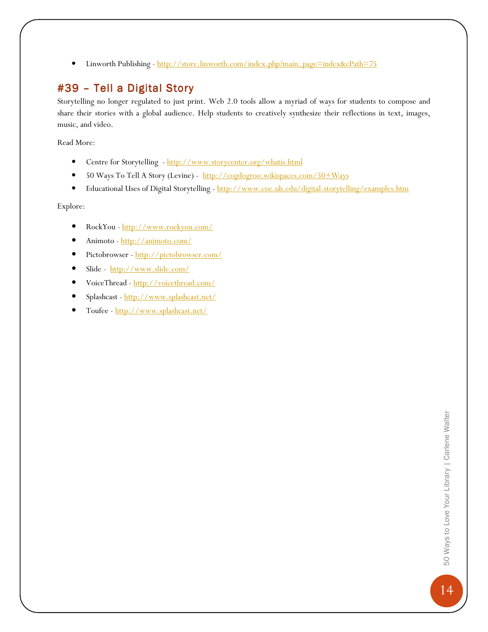• Linworth Publishing - http://store.linworth.com/index.php?main\_page=index&cPath=75

## #39 - Tell a Digital Story

Storytelling no longer regulated to just print. Web 2.0 tools allow a myriad of ways for students to compose and share their stories with a global audience. Help students to creatively synthesize their reflections in text, images, music, and video.

Read More:

- Centre for Storytelling http://www.storycenter.org/whatis.html
- 50 Ways To Tell A Story (Levine) http://cogdogroo.wikispaces.com/50+Ways
- Educational Uses of Digital Storytelling http://www.coe.uh.edu/digital-storytelling/examples.htm

Explore:

- RockYou http://www.rockyou.com/
- Animoto http://animoto.com/
- Pictobrowser http://pictobrowser.com/
- Slide http://www.slide.com/
- VoiceThread http://voicethread.com/
- Splashcast http://www.splashcast.net/
- Toufee http://www.splashcast.net/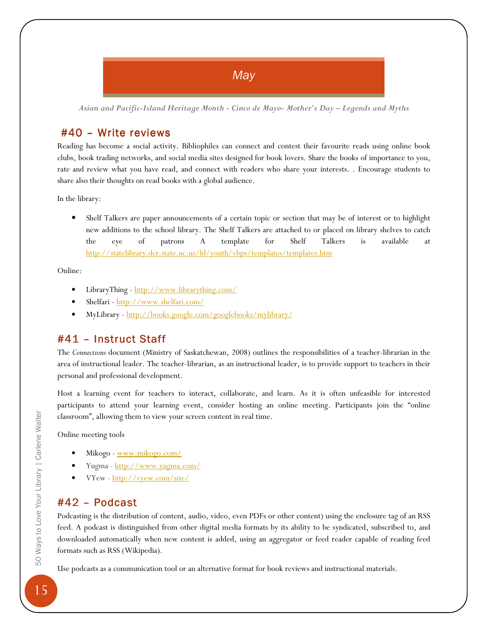## **May**

Asian and Pacific-Island Heritage Month - Cinco de Mayo- Mother's Day – Legends and Myths

#### $#40$  – Write reviews

Reading has become a social activity. Bibliophiles can connect and contest their favourite reads using online book clubs, book trading networks, and social media sites designed for book lovers. Share the books of importance to you, rate and review what you have read, and connect with readers who share your interests. . Encourage students to share also their thoughts on read books with a global audience.

In the library:

• Shelf Talkers are paper announcements of a certain topic or section that may be of interest or to highlight new additions to the school library. The Shelf Talkers are attached to or placed on library shelves to catch the eye of patrons A template for Shelf Talkers is available at http://statelibrary.dcr.state.nc.us/ld/youth/vbps/templates/templates.htm

Online:

- LibraryThing http://www.librarything.com/
- Shelfari http://www.shelfari.com/
- MyLibrary http://books.google.com/googlebooks/mylibrary/

#### #41 - Instruct Staff

The Connections document (Ministry of Saskatchewan, 2008) outlines the responsibilities of a teacher-librarian in the area of instructional leader. The teacher-librarian, as an instructional leader, is to provide support to teachers in their personal and professional development.

Host a learning event for teachers to interact, collaborate, and learn. As it is often unfeasible for interested participants to attend your learning event, consider hosting an online meeting. Participants join the "online classroom", allowing them to view your screen content in real time.

Online meeting tools

- Mikogo www.mikogo.com/
- Yugma http://www.yugma.com/
- VYew http://vyew.com/site/

#### $#42$  – Podcast

Podcasting is the distribution of content, audio, video, even PDFs or other content) using the enclosure tag of an RSS feed. A podcast is distinguished from other digital media formats by its ability to be syndicated, subscribed to, and downloaded automatically when new content is added, using an aggregator or feed reader capable of reading feed formats such as RSS (Wikipedia).

Use podcasts as a communication tool or an alternative format for book reviews and instructional materials.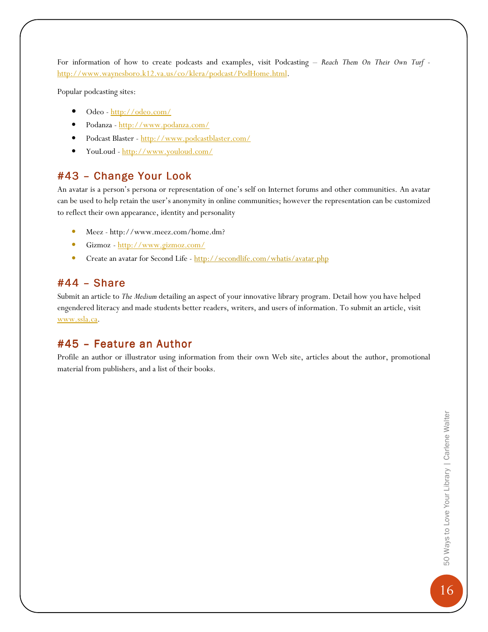For information of how to create podcasts and examples, visit Podcasting - Reach Them On Their Own Turf http://www.waynesboro.k12.va.us/co/klera/podcast/PodHome.html.

Popular podcasting sites:

- Odeo http://odeo.com/
- Podanza http://www.podanza.com/
- Podcast Blaster http://www.podcastblaster.com/
- YouLoud http://www.youloud.com/

#### #43 - Change Your Look

An avatar is a person's persona or representation of one's self on Internet forums and other communities. An avatar can be used to help retain the user's anonymity in online communities; however the representation can be customized to reflect their own appearance, identity and personality

- Meez http://www.meez.com/home.dm?
- Gizmoz http://www.gizmoz.com/
- Create an avatar for Second Life http://secondlife.com/whatis/avatar.php

#### #44–Share

Submit an article to The Medium detailing an aspect of your innovative library program. Detail how you have helped engendered literacy and made students better readers, writers, and users of information. To submit an article, visit www.ssla.ca.

#### $#45$  – Feature an Author

Profile an author or illustrator using information from their own Web site, articles about the author, promotional material from publishers, and a list of their books.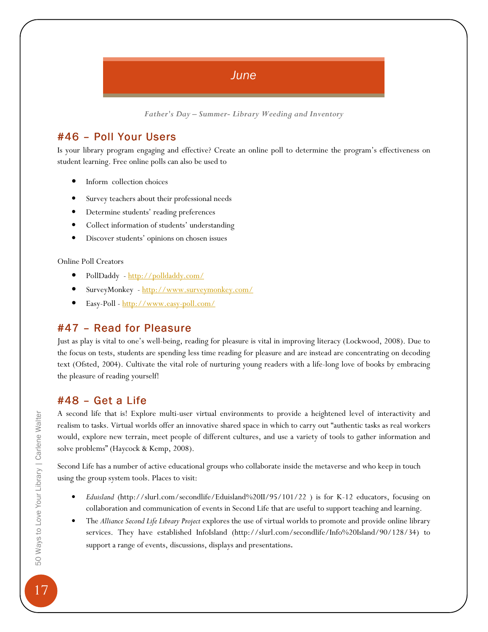## June

Father's Day – Summer- Library Weeding and Inventory

### #46 - Poll Your Users

Is your library program engaging and effective? Create an online poll to determine the program's effectiveness on student learning. Free online polls can also be used to

- Inform collection choices
- Survey teachers about their professional needs
- Determine students' reading preferences
- Collect information of students' understanding
- Discover students' opinions on chosen issues

Online Poll Creators

- PollDaddy http://polldaddy.com/
- SurveyMonkey http://www.surveymonkey.com/
- Easy-Poll http://www.easy-poll.com/

#### $#47$  – Read for Pleasure

Just as play is vital to one's well-being, reading for pleasure is vital in improving literacy (Lockwood, 2008). Due to the focus on tests, students are spending less time reading for pleasure and are instead are concentrating on decoding text (Ofsted, 2004). Cultivate the vital role of nurturing young readers with a life-long love of books by embracing the pleasure of reading yourself!

#### #48 –Get aLife

A second life that is! Explore multi-user virtual environments to provide a heightened level of interactivity and realism to tasks. Virtual worlds offer an innovative shared space in which to carry out "authentic tasks as real workers would, explore new terrain, meet people of different cultures, and use a variety of tools to gather information and solve problems" (Haycock & Kemp, 2008).

Second Life has a number of active educational groups who collaborate inside the metaverse and who keep in touch using the group system tools. Places to visit:

- Eduisland (http://slurl.com/secondlife/Eduisland%20II/95/101/22 ) is for K-12 educators, focusing on collaboration and communication of events in Second Life that are useful to support teaching and learning.
- The Alliance Second Life Library Project explores the use of virtual worlds to promote and provide online library services. They have established InfoIsland (http://slurl.com/secondlife/Info%20Island/90/128/34) to support a range of events, discussions, displays and presentations.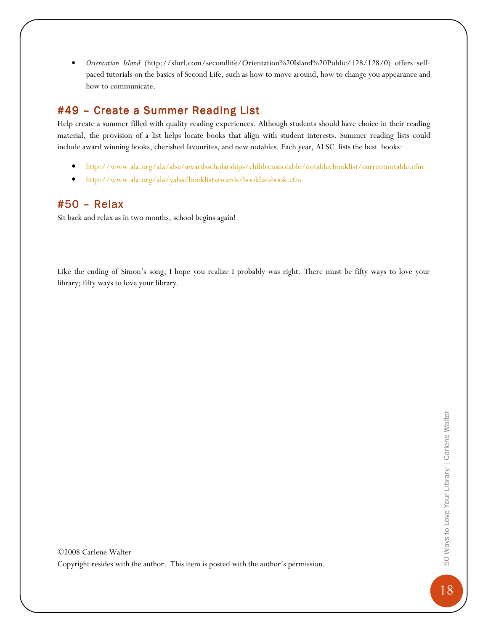• Orientation Island (http://slurl.com/secondlife/Orientation%20Island%20Public/128/128/0) offers selfpaced tutorials on the basics of Second Life, such as how to move around, how to change you appearance and how to communicate.

## #49 - Create a Summer Reading List

Help create a summer filled with quality reading experiences. Although students should have choice in their reading material, the provision of a list helps locate books that align with student interests. Summer reading lists could include award winning books, cherished favourites, and new notables. Each year, ALSC lists the best books:

- http://www.ala.org/ala/alsc/awardsscholarships/childrensnotable/notablecbooklist/currentnotable.cfm
- http://www.ala.org/ala/yalsa/booklistsawards/booklistsbook.cfm

#### $#50 - Relax$

Sit back and relax as in two months, school begins again!

Like the ending of Simon's song, I hope you realize I probably was right. There must be fifty ways to love your library; fifty ways to love your library.

©2008 Carlene Walter Copyright resides with the author. This item is posted with the author's permission.